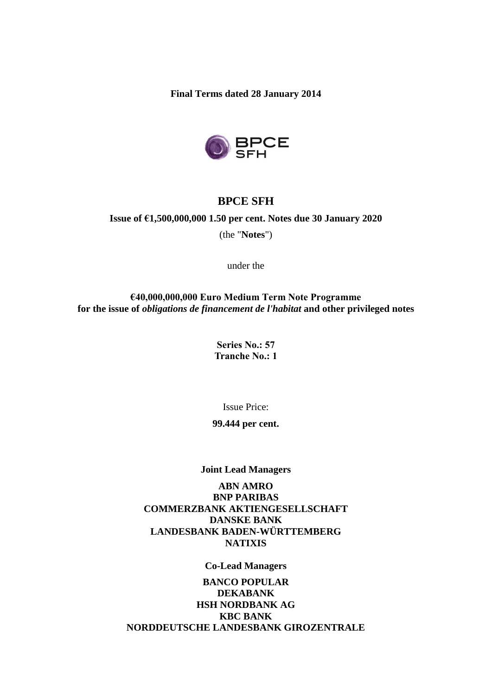**Final Terms dated 28 January 2014**



# **BPCE SFH**

## **Issue of €1,500,000,000 1.50 per cent. Notes due 30 January 2020**

(the "**Notes**")

under the

**€40,000,000,000 Euro Medium Term Note Programme for the issue of** *obligations de financement de l'habitat* **and other privileged notes**

> **Series No.: 57 Tranche No.: 1**

> > Issue Price:

**99.444 per cent.**

#### **Joint Lead Managers**

**ABN AMRO BNP PARIBAS COMMERZBANK AKTIENGESELLSCHAFT DANSKE BANK LANDESBANK BADEN-WÜRTTEMBERG NATIXIS**

**Co-Lead Managers**

**BANCO POPULAR DEKABANK HSH NORDBANK AG KBC BANK NORDDEUTSCHE LANDESBANK GIROZENTRALE**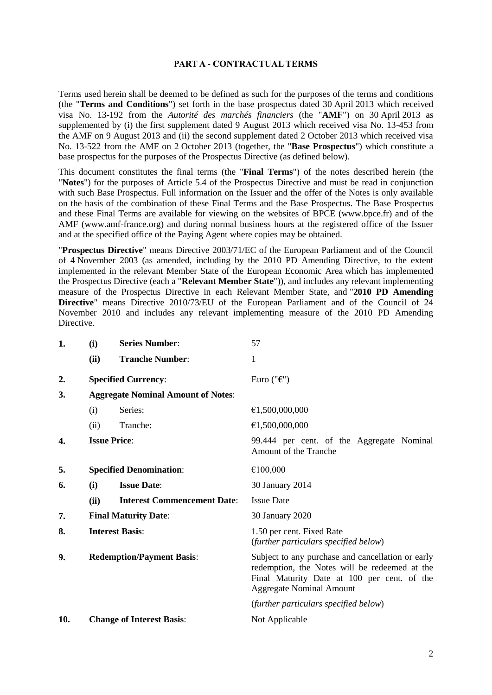#### **PART A - CONTRACTUAL TERMS**

Terms used herein shall be deemed to be defined as such for the purposes of the terms and conditions (the "**Terms and Conditions**") set forth in the base prospectus dated 30 April 2013 which received visa No. 13-192 from the *Autorité des marchés financiers* (the "**AMF**") on 30 April 2013 as supplemented by (i) the first supplement dated 9 August 2013 which received visa No. 13-453 from the AMF on 9 August 2013 and (ii) the second supplement dated 2 October 2013 which received visa No. 13-522 from the AMF on 2 October 2013 (together, the "**Base Prospectus**") which constitute a base prospectus for the purposes of the Prospectus Directive (as defined below).

This document constitutes the final terms (the "**Final Terms**") of the notes described herein (the "**Notes**") for the purposes of Article 5.4 of the Prospectus Directive and must be read in conjunction with such Base Prospectus. Full information on the Issuer and the offer of the Notes is only available on the basis of the combination of these Final Terms and the Base Prospectus. The Base Prospectus and these Final Terms are available for viewing on the websites of BPCE (www.bpce.fr) and of the AMF (www.amf-france.org) and during normal business hours at the registered office of the Issuer and at the specified office of the Paying Agent where copies may be obtained.

"**Prospectus Directive**" means Directive 2003/71/EC of the European Parliament and of the Council of 4 November 2003 (as amended, including by the 2010 PD Amending Directive, to the extent implemented in the relevant Member State of the European Economic Area which has implemented the Prospectus Directive (each a "**Relevant Member State**")), and includes any relevant implementing measure of the Prospectus Directive in each Relevant Member State, and "**2010 PD Amending Directive**" means Directive 2010/73/EU of the European Parliament and of the Council of 24 November 2010 and includes any relevant implementing measure of the 2010 PD Amending Directive.

| 1.  | (i)                                       | <b>Series Number:</b>              | 57                                                                                                                                                                                   |
|-----|-------------------------------------------|------------------------------------|--------------------------------------------------------------------------------------------------------------------------------------------------------------------------------------|
|     | (ii)                                      | <b>Tranche Number:</b>             | 1                                                                                                                                                                                    |
| 2.  |                                           | <b>Specified Currency:</b>         | Euro (" $\epsilon$ ")                                                                                                                                                                |
| 3.  | <b>Aggregate Nominal Amount of Notes:</b> |                                    |                                                                                                                                                                                      |
|     | (i)                                       | Series:                            | €1,500,000,000                                                                                                                                                                       |
|     | (ii)                                      | Tranche:                           | €1,500,000,000                                                                                                                                                                       |
| 4.  |                                           | <b>Issue Price:</b>                | 99.444 per cent. of the Aggregate Nominal<br>Amount of the Tranche                                                                                                                   |
| 5.  |                                           | <b>Specified Denomination:</b>     | €100,000                                                                                                                                                                             |
| 6.  | (i)                                       | <b>Issue Date:</b>                 | 30 January 2014                                                                                                                                                                      |
|     | (ii)                                      | <b>Interest Commencement Date:</b> | <b>Issue Date</b>                                                                                                                                                                    |
| 7.  |                                           | <b>Final Maturity Date:</b>        | 30 January 2020                                                                                                                                                                      |
| 8.  |                                           | <b>Interest Basis:</b>             | 1.50 per cent. Fixed Rate<br>(further particulars specified below)                                                                                                                   |
| 9.  | <b>Redemption/Payment Basis:</b>          |                                    | Subject to any purchase and cancellation or early<br>redemption, the Notes will be redeemed at the<br>Final Maturity Date at 100 per cent. of the<br><b>Aggregate Nominal Amount</b> |
|     |                                           |                                    | (further particulars specified below)                                                                                                                                                |
| 10. |                                           | <b>Change of Interest Basis:</b>   | Not Applicable                                                                                                                                                                       |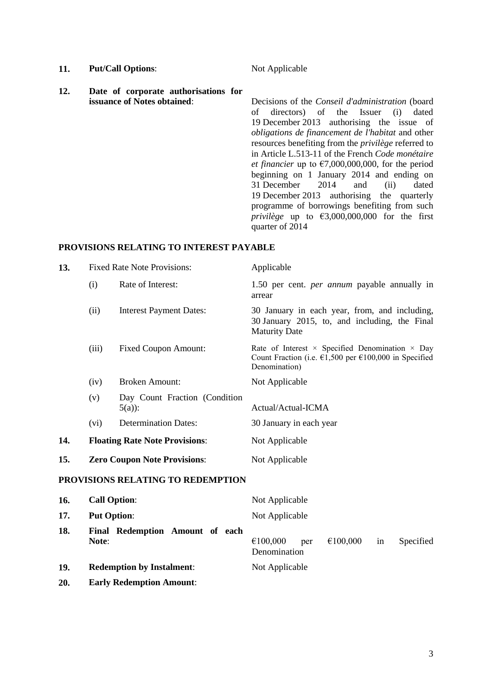- **11. Put/Call Options:** Not Applicable
	-
- **12. Date of corporate authorisations for**

Decisions of the *Conseil d'administration* (board of directors) of the Issuer (i) dated 19 December 2013 authorising the issue of *obligations de financement de l'habitat* and other resources benefiting from the *privilège* referred to in Article L.513-11 of the French *Code monétaire et financier* up to  $\epsilon$ 7,000,000,000, for the period beginning on 1 January 2014 and ending on 31 December 2014 and (ii) dated 19 December 2013 authorising the quarterly programme of borrowings benefiting from such *privilège* up to  $\epsilon$ 3,000,000,000 for the first quarter of 2014

## **PROVISIONS RELATING TO INTEREST PAYABLE**

| 13. | <b>Fixed Rate Note Provisions:</b>  |                                           | Applicable                                                                                                                                                  |  |
|-----|-------------------------------------|-------------------------------------------|-------------------------------------------------------------------------------------------------------------------------------------------------------------|--|
|     | (i)                                 | Rate of Interest:                         | 1.50 per cent. <i>per annum</i> payable annually in<br>arrear                                                                                               |  |
|     | (ii)                                | <b>Interest Payment Dates:</b>            | 30 January in each year, from, and including,<br>30 January 2015, to, and including, the Final<br><b>Maturity Date</b>                                      |  |
|     | (iii)                               | <b>Fixed Coupon Amount:</b>               | Rate of Interest $\times$ Specified Denomination $\times$ Day<br>Count Fraction (i.e. $\epsilon$ 1,500 per $\epsilon$ 100,000 in Specified<br>Denomination) |  |
|     | (iv)                                | <b>Broken Amount:</b>                     | Not Applicable                                                                                                                                              |  |
|     | (v)                                 | Day Count Fraction (Condition<br>$5(a)$ : | Actual/Actual-ICMA                                                                                                                                          |  |
|     | (vi)                                | <b>Determination Dates:</b>               | 30 January in each year                                                                                                                                     |  |
| 14. |                                     | <b>Floating Rate Note Provisions:</b>     | Not Applicable                                                                                                                                              |  |
| 15. | <b>Zero Coupon Note Provisions:</b> |                                           | Not Applicable                                                                                                                                              |  |
|     |                                     | PROVISIONS RELATING TO REDEMPTION         |                                                                                                                                                             |  |
| 16. | <b>Call Option:</b>                 |                                           | Not Applicable                                                                                                                                              |  |
| 17. | <b>Put Option:</b>                  |                                           | Not Applicable                                                                                                                                              |  |
| 18. | Note:                               | Final Redemption Amount of each           | €100,000<br>€100,000<br>Specified<br>per<br>in<br>Denomination                                                                                              |  |

# **19. Redemption by Instalment**: Not Applicable

**20. Early Redemption Amount**: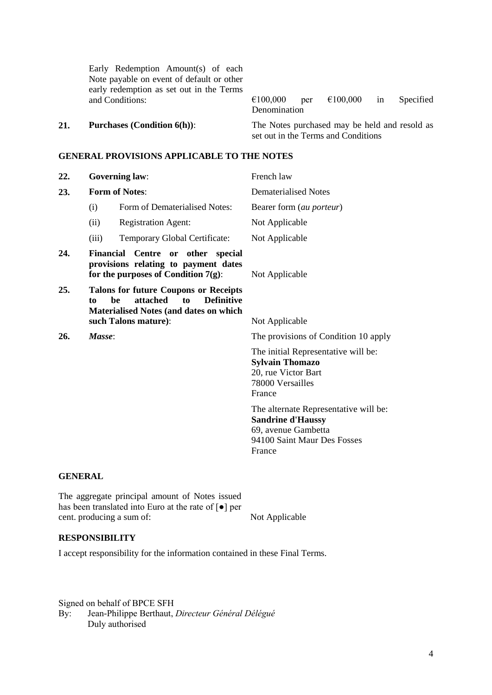Early Redemption Amount(s) of each Note payable on event of default or other early redemption as set out in the Terms

and Conditions:  $\epsilon$ 100,000 per  $\epsilon$ 100,000 in Specified Denomination

**21. Purchases (Condition 6(h))**: The Notes purchased may be held and resold as set out in the Terms and Conditions

#### **GENERAL PROVISIONS APPLICABLE TO THE NOTES**

|                       |                                     | French law                                                                                                                                                                                                                                                                            |
|-----------------------|-------------------------------------|---------------------------------------------------------------------------------------------------------------------------------------------------------------------------------------------------------------------------------------------------------------------------------------|
| <b>Form of Notes:</b> |                                     | Dematerialised Notes                                                                                                                                                                                                                                                                  |
| (i)                   | Form of Dematerialised Notes:       | Bearer form (au porteur)                                                                                                                                                                                                                                                              |
| (ii)                  | <b>Registration Agent:</b>          | Not Applicable                                                                                                                                                                                                                                                                        |
| (iii)                 | Temporary Global Certificate:       | Not Applicable                                                                                                                                                                                                                                                                        |
|                       |                                     | Not Applicable                                                                                                                                                                                                                                                                        |
| to                    | <b>Definitive</b><br>attached<br>to | Not Applicable                                                                                                                                                                                                                                                                        |
|                       |                                     | The provisions of Condition 10 apply                                                                                                                                                                                                                                                  |
|                       |                                     | The initial Representative will be:<br><b>Sylvain Thomazo</b><br>20, rue Victor Bart<br>78000 Versailles<br>France                                                                                                                                                                    |
|                       |                                     | The alternate Representative will be:<br><b>Sandrine d'Haussy</b><br>69, avenue Gambetta<br>94100 Saint Maur Des Fosses<br>France                                                                                                                                                     |
|                       |                                     | <b>Governing law:</b><br>Financial Centre or other special<br>provisions relating to payment dates<br>for the purposes of Condition $7(g)$ :<br><b>Talons for future Coupons or Receipts</b><br>be<br><b>Materialised Notes (and dates on which</b><br>such Talons mature):<br>Masse: |

## **GENERAL**

The aggregate principal amount of Notes issued has been translated into Euro at the rate of [●] per cent. producing a sum of: Not Applicable

## **RESPONSIBILITY**

I accept responsibility for the information contained in these Final Terms.

Signed on behalf of BPCE SFH By: Jean-Philippe Berthaut, *Directeur Général Délégué* Duly authorised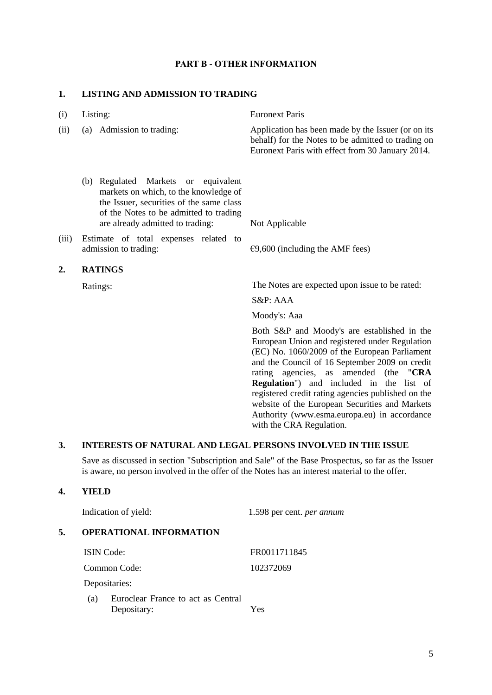## **PART B - OTHER INFORMATION**

## **1. LISTING AND ADMISSION TO TRADING**

| (i)              | Listing:                                                                                                                                                                                                  | <b>Euronext Paris</b>                                                                                                                                        |
|------------------|-----------------------------------------------------------------------------------------------------------------------------------------------------------------------------------------------------------|--------------------------------------------------------------------------------------------------------------------------------------------------------------|
| (ii)             | Admission to trading:<br>(a)                                                                                                                                                                              | Application has been made by the Issuer (or on its<br>behalf) for the Notes to be admitted to trading on<br>Euronext Paris with effect from 30 January 2014. |
|                  | Regulated Markets or equivalent<br>(b)<br>markets on which, to the knowledge of<br>the Issuer, securities of the same class<br>of the Notes to be admitted to trading<br>are already admitted to trading: | Not Applicable                                                                                                                                               |
| (iii)            | Estimate of total expenses related to                                                                                                                                                                     |                                                                                                                                                              |
|                  | admission to trading:                                                                                                                                                                                     | $\epsilon$ 9,600 (including the AMF fees)                                                                                                                    |
| $\overline{2}$ . | <b>RATINGS</b>                                                                                                                                                                                            |                                                                                                                                                              |
|                  | Ratings:                                                                                                                                                                                                  | The Notes are expected upon issue to be rated:                                                                                                               |
|                  |                                                                                                                                                                                                           | S&P: AAA                                                                                                                                                     |
|                  |                                                                                                                                                                                                           | Moody's: Aaa                                                                                                                                                 |
|                  |                                                                                                                                                                                                           | Both S&P and Moody's are established in the<br>European Union and registered under Regulation<br>(EC) No. 1060/2009 of the European Parliament               |

(EC) No. 1060/2009 of the European Parliament and the Council of 16 September 2009 on credit rating agencies, as amended (the "**CRA Regulation**") and included in the list of registered credit rating agencies published on the website of the European Securities and Markets Authority (www.esma.europa.eu) in accordance with the CRA Regulation.

## **3. INTERESTS OF NATURAL AND LEGAL PERSONS INVOLVED IN THE ISSUE**

Save as discussed in section "Subscription and Sale" of the Base Prospectus, so far as the Issuer is aware, no person involved in the offer of the Notes has an interest material to the offer.

#### **4. YIELD**

|    | Indication of yield:           |                                                   | 1.598 per cent. <i>per annum</i> |  |
|----|--------------------------------|---------------------------------------------------|----------------------------------|--|
| 5. | <b>OPERATIONAL INFORMATION</b> |                                                   |                                  |  |
|    | <b>ISIN</b> Code:              |                                                   | FR0011711845                     |  |
|    | Common Code:                   |                                                   | 102372069                        |  |
|    | Depositaries:                  |                                                   |                                  |  |
|    | (a)                            | Euroclear France to act as Central<br>Depositary: | Yes                              |  |